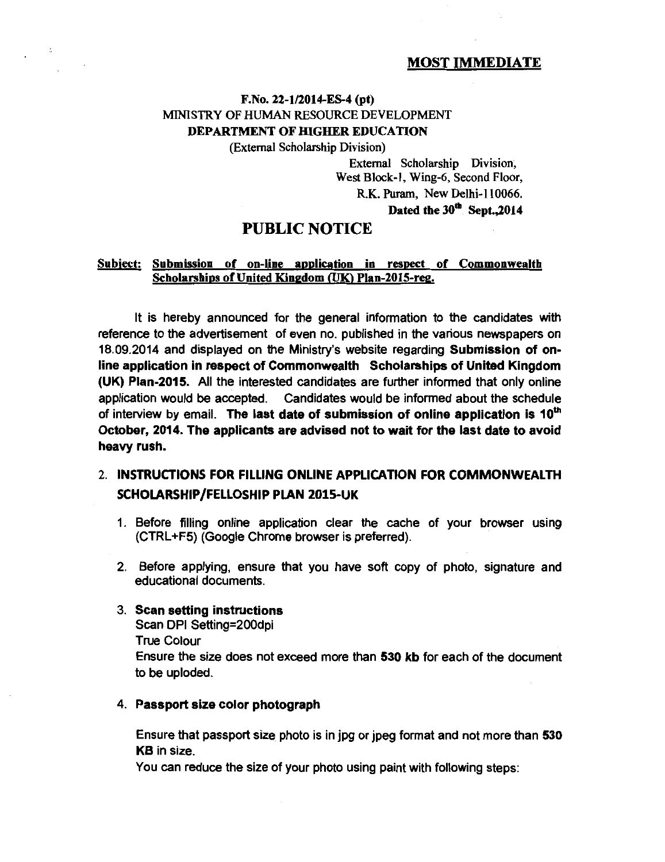#### MOST IMMEDIATE

## F.No. 22-1/2014-ES-4 (pt) MINISTRY OF HUMAN RESOURCE DEVELOPMENT DEPARTMENT OF HIGHER EDUCATION

(External Scholarship Division)

External Scholarship Division, West Block-1, Wing-6, Second Floor, R.K. Puram, New Delhi-II 0066. Dated the  $30<sup>th</sup>$  Sept., 2014

## PUBLIC NOTICE

#### Subject: Submission of on-line application in respect of Commonwealth Scholarships of United Kingdom (UK) Plan-2015-reg.

It is hereby announced for the general information to the candidates with reference to the advertisement of even no. published in the various newspapers on 18.09.2014 and displayed on the Ministry's website regarding Submission of online application in respect of Commonwealth Scholarships of United Kingdom (UK) Plan-2015. All the interested candidates are further informed that only online application would be accepted. Candidates would be informed about the schedule of interview by email. The last date of submission of online application is 10<sup>th</sup> October, 2014. The applicants are advised not to wait for the last date to avoid heavy rush.

## 2. INSTRUCTIONS FOR FILLING ONLINE APPLICATION FOR COMMONWEALTH SCHOLARSHIP/FELLOSHIP PLAN 2015-UK

- 1. Before filling online application clear the cache of your browser using (CTRL +F5) (Google Chrome browser is preferred).
- 2. Before applying, ensure that you have soft copy of photo, signature and educational documents.

#### 3. Scan setting instructions

 $\sim$   $\sim$ 

Scan DPI Setting=200dpi True Colour Ensure the size does not exceed more than 530 kb for each of the document to be uploded.

#### 4. Passport size color photograph

Ensure that passport size photo is in jpg or jpeg format and not more than 530 KB in size.

You can reduce the size of your photo using paint with following steps: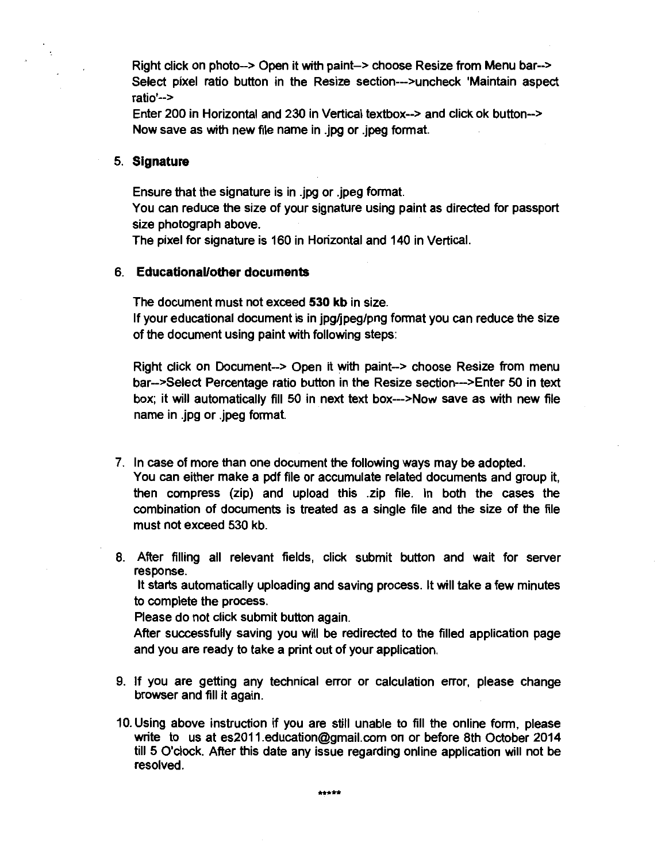Right click on photo--> Open it with paint-> choose Resize from Menu bar--> Select pixel ratio button in the Resize section-->uncheck 'Maintain aspect ratio'-->

Enter 200 in Horizontal and 230 in Vertical textbox--> and click ok button--> Now save as with new file name in .jpg or .jpeg format.

#### 5. **Signature**

Ensure that the signature is in .jpg or .jpeg format. You can reduce the size of your signature using paint as directed for passport size photograph above.

The pixel for signature is 160 in Horizontal and 140 in Vertical.

#### 6. **Educational/other documents**

The document must not exceed **530 kb** in size. If your educational document is in jpg/jpeg/png format you can reduce the size of the document using paint with following steps:

Right click on Document--> Open it with paint-> choose Resize from menu bar->Select Percentage ratio button in the Resize section-->Enter 50 in text box; it will automatically fill 50 in next text box--->Now save as with new file name in .jpg or .jpeg format.

7. In case of more than one document the following ways may be adopted. You can either make a pdf file or accumulate related documents and group it, then compress (zip) and upload this .zip file. In both the cases the combination of documents is treated as a single file and the size of the file must not exceed 530 kb.

8. After filling all relevant fields, click submit button and wait for server response.

It starts automatically uploading and saving process. It will take a few minutes to complete the process.

Please do not click submit button again.

After successfully saving you will be redirected to the filled application page and you are ready to take a print out of your application.

- 9. If you are getting any technical error or calculation error, please change browser and fill it again.
- 10. Using above instruction if you are still unable to fill the online form, please write to us at es2011.education@gmail.com on or before 8th October 2014 till 5 O'clock. After this date any issue regarding online application will not be resolved.

\*\*\*\*\*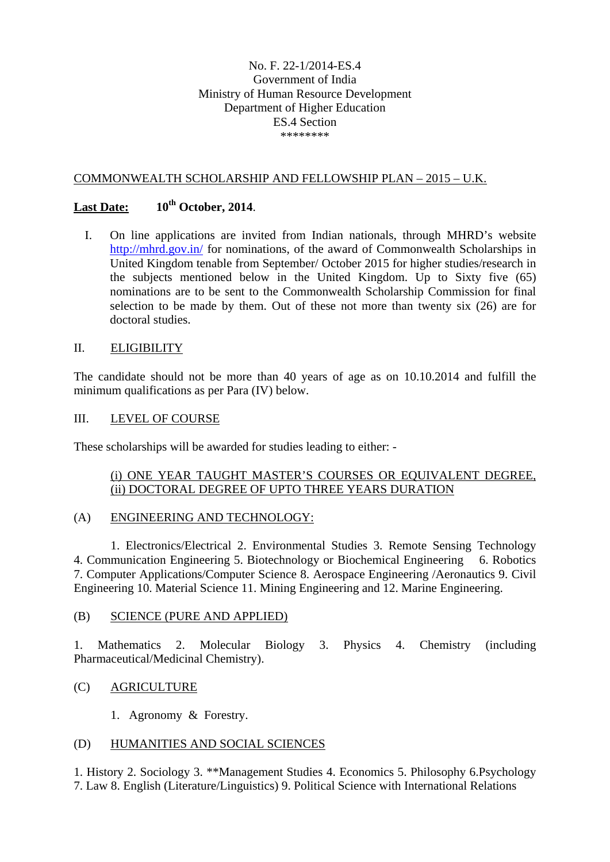### No. F. 22-1/2014-ES.4 Government of India Ministry of Human Resource Development Department of Higher Education ES.4 Section \*\*\*\*\*\*\*\*

### COMMONWEALTH SCHOLARSHIP AND FELLOWSHIP PLAN – 2015 – U.K.

## Last Date:  $10^{th}$  October, 2014.

I. On line applications are invited from Indian nationals, through MHRD's website http://mhrd.gov.in/ for nominations, of the award of Commonwealth Scholarships in United Kingdom tenable from September/ October 2015 for higher studies/research in the subjects mentioned below in the United Kingdom. Up to Sixty five (65) nominations are to be sent to the Commonwealth Scholarship Commission for final selection to be made by them. Out of these not more than twenty six (26) are for doctoral studies.

### II. ELIGIBILITY

The candidate should not be more than 40 years of age as on 10.10.2014 and fulfill the minimum qualifications as per Para (IV) below.

### III. LEVEL OF COURSE

These scholarships will be awarded for studies leading to either: -

### (i) ONE YEAR TAUGHT MASTER'S COURSES OR EQUIVALENT DEGREE, (ii) DOCTORAL DEGREE OF UPTO THREE YEARS DURATION

### (A) ENGINEERING AND TECHNOLOGY:

 1. Electronics/Electrical 2. Environmental Studies 3. Remote Sensing Technology 4. Communication Engineering 5. Biotechnology or Biochemical Engineering 6. Robotics 7. Computer Applications/Computer Science 8. Aerospace Engineering /Aeronautics 9. Civil Engineering 10. Material Science 11. Mining Engineering and 12. Marine Engineering.

### (B) SCIENCE (PURE AND APPLIED)

1. Mathematics 2. Molecular Biology 3. Physics 4. Chemistry (including Pharmaceutical/Medicinal Chemistry).

### (C) AGRICULTURE

1. Agronomy & Forestry.

### (D) HUMANITIES AND SOCIAL SCIENCES

1. History 2. Sociology 3. \*\*Management Studies 4. Economics 5. Philosophy 6.Psychology 7. Law 8. English (Literature/Linguistics) 9. Political Science with International Relations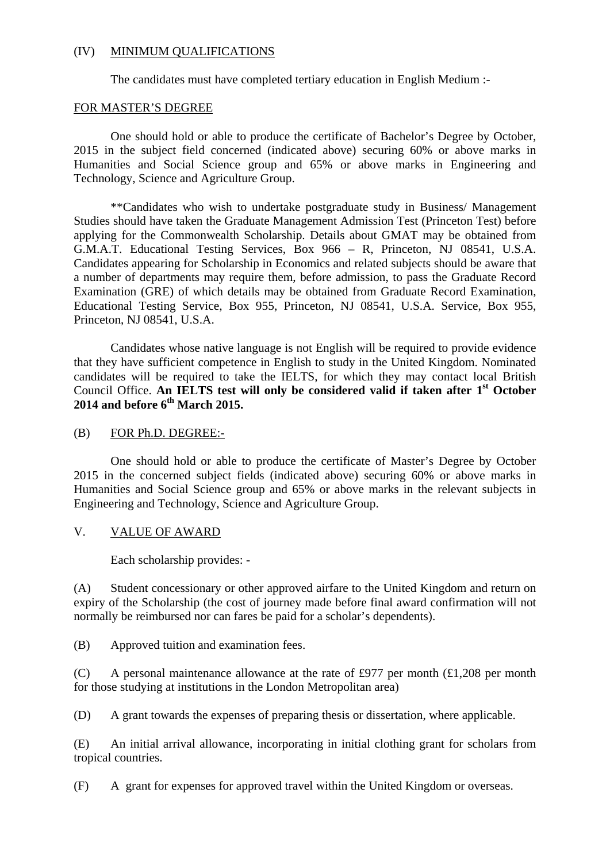#### (IV) MINIMUM QUALIFICATIONS

The candidates must have completed tertiary education in English Medium :-

#### FOR MASTER'S DEGREE

One should hold or able to produce the certificate of Bachelor's Degree by October, 2015 in the subject field concerned (indicated above) securing 60% or above marks in Humanities and Social Science group and 65% or above marks in Engineering and Technology, Science and Agriculture Group.

 \*\*Candidates who wish to undertake postgraduate study in Business/ Management Studies should have taken the Graduate Management Admission Test (Princeton Test) before applying for the Commonwealth Scholarship. Details about GMAT may be obtained from G.M.A.T. Educational Testing Services, Box 966 – R, Princeton, NJ 08541, U.S.A. Candidates appearing for Scholarship in Economics and related subjects should be aware that a number of departments may require them, before admission, to pass the Graduate Record Examination (GRE) of which details may be obtained from Graduate Record Examination, Educational Testing Service, Box 955, Princeton, NJ 08541, U.S.A. Service, Box 955, Princeton, NJ 08541, U.S.A.

 Candidates whose native language is not English will be required to provide evidence that they have sufficient competence in English to study in the United Kingdom. Nominated candidates will be required to take the IELTS, for which they may contact local British Council Office. An **IELTS** test will only be considered valid if taken after 1<sup>st</sup> October **2014 and before 6th March 2015.** 

### (B) FOR Ph.D. DEGREE:-

 One should hold or able to produce the certificate of Master's Degree by October 2015 in the concerned subject fields (indicated above) securing 60% or above marks in Humanities and Social Science group and 65% or above marks in the relevant subjects in Engineering and Technology, Science and Agriculture Group.

#### V. VALUE OF AWARD

Each scholarship provides: -

(A) Student concessionary or other approved airfare to the United Kingdom and return on expiry of the Scholarship (the cost of journey made before final award confirmation will not normally be reimbursed nor can fares be paid for a scholar's dependents).

(B) Approved tuition and examination fees.

(C) A personal maintenance allowance at the rate of £977 per month  $(£1,208)$  per month for those studying at institutions in the London Metropolitan area)

(D) A grant towards the expenses of preparing thesis or dissertation, where applicable.

(E) An initial arrival allowance, incorporating in initial clothing grant for scholars from tropical countries.

(F) A grant for expenses for approved travel within the United Kingdom or overseas.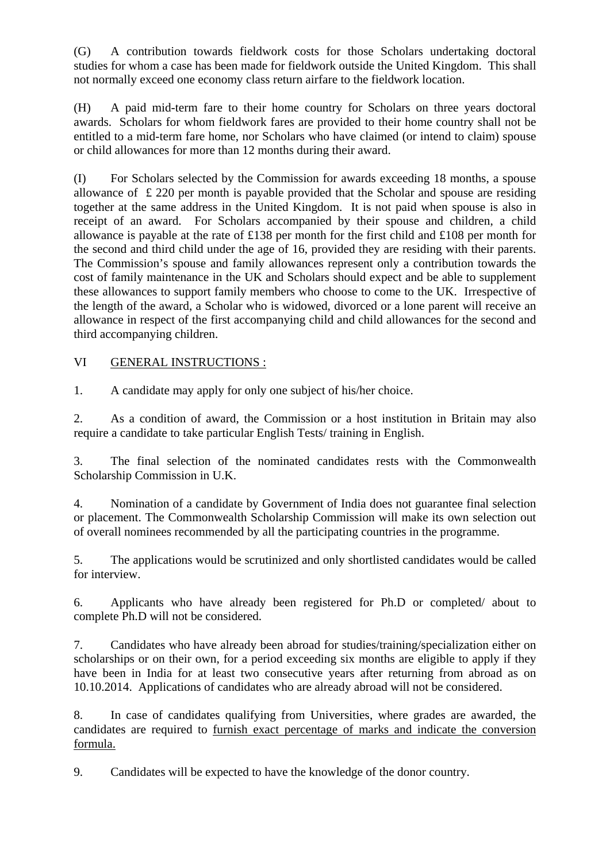(G) A contribution towards fieldwork costs for those Scholars undertaking doctoral studies for whom a case has been made for fieldwork outside the United Kingdom. This shall not normally exceed one economy class return airfare to the fieldwork location.

(H) A paid mid-term fare to their home country for Scholars on three years doctoral awards. Scholars for whom fieldwork fares are provided to their home country shall not be entitled to a mid-term fare home, nor Scholars who have claimed (or intend to claim) spouse or child allowances for more than 12 months during their award.

(I) For Scholars selected by the Commission for awards exceeding 18 months, a spouse allowance of £ 220 per month is payable provided that the Scholar and spouse are residing together at the same address in the United Kingdom. It is not paid when spouse is also in receipt of an award. For Scholars accompanied by their spouse and children, a child allowance is payable at the rate of £138 per month for the first child and £108 per month for the second and third child under the age of 16, provided they are residing with their parents. The Commission's spouse and family allowances represent only a contribution towards the cost of family maintenance in the UK and Scholars should expect and be able to supplement these allowances to support family members who choose to come to the UK. Irrespective of the length of the award, a Scholar who is widowed, divorced or a lone parent will receive an allowance in respect of the first accompanying child and child allowances for the second and third accompanying children.

## VI GENERAL INSTRUCTIONS :

1. A candidate may apply for only one subject of his/her choice.

2. As a condition of award, the Commission or a host institution in Britain may also require a candidate to take particular English Tests/ training in English.

3. The final selection of the nominated candidates rests with the Commonwealth Scholarship Commission in U.K.

4. Nomination of a candidate by Government of India does not guarantee final selection or placement. The Commonwealth Scholarship Commission will make its own selection out of overall nominees recommended by all the participating countries in the programme.

5. The applications would be scrutinized and only shortlisted candidates would be called for interview.

6. Applicants who have already been registered for Ph.D or completed/ about to complete Ph.D will not be considered.

7. Candidates who have already been abroad for studies/training/specialization either on scholarships or on their own, for a period exceeding six months are eligible to apply if they have been in India for at least two consecutive years after returning from abroad as on 10.10.2014. Applications of candidates who are already abroad will not be considered.

8. In case of candidates qualifying from Universities, where grades are awarded, the candidates are required to furnish exact percentage of marks and indicate the conversion formula.

9. Candidates will be expected to have the knowledge of the donor country.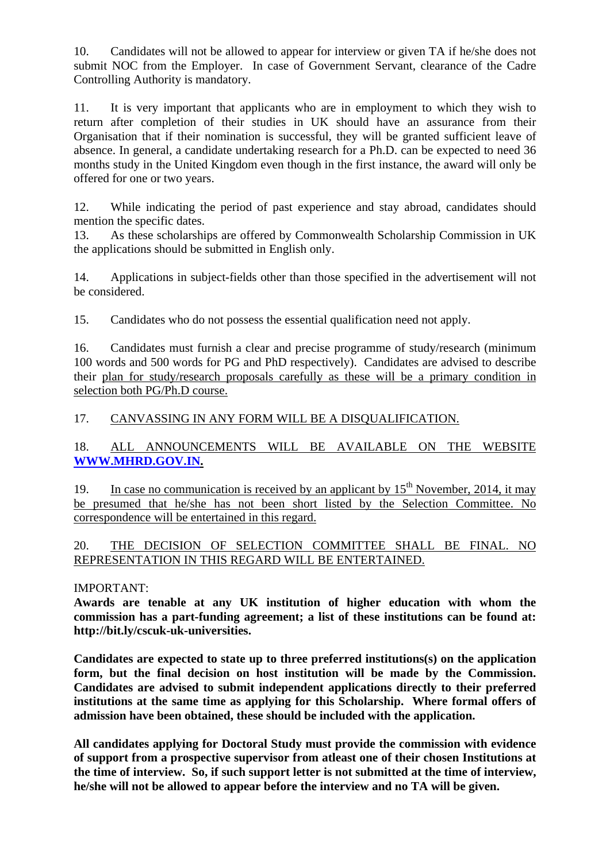10. Candidates will not be allowed to appear for interview or given TA if he/she does not submit NOC from the Employer. In case of Government Servant, clearance of the Cadre Controlling Authority is mandatory.

11. It is very important that applicants who are in employment to which they wish to return after completion of their studies in UK should have an assurance from their Organisation that if their nomination is successful, they will be granted sufficient leave of absence. In general, a candidate undertaking research for a Ph.D. can be expected to need 36 months study in the United Kingdom even though in the first instance, the award will only be offered for one or two years.

12. While indicating the period of past experience and stay abroad, candidates should mention the specific dates.

13. As these scholarships are offered by Commonwealth Scholarship Commission in UK the applications should be submitted in English only.

14. Applications in subject-fields other than those specified in the advertisement will not be considered.

15. Candidates who do not possess the essential qualification need not apply.

16. Candidates must furnish a clear and precise programme of study/research (minimum 100 words and 500 words for PG and PhD respectively). Candidates are advised to describe their plan for study/research proposals carefully as these will be a primary condition in selection both PG/Ph.D course.

## 17. CANVASSING IN ANY FORM WILL BE A DISQUALIFICATION.

18. ALL ANNOUNCEMENTS WILL BE AVAILABLE ON THE WEBSITE **WWW.MHRD.GOV.IN.** 

19. In case no communication is received by an applicant by  $15<sup>th</sup>$  November, 2014, it may be presumed that he/she has not been short listed by the Selection Committee. No correspondence will be entertained in this regard.

## 20. THE DECISION OF SELECTION COMMITTEE SHALL BE FINAL. NO REPRESENTATION IN THIS REGARD WILL BE ENTERTAINED.

## IMPORTANT:

**Awards are tenable at any UK institution of higher education with whom the commission has a part-funding agreement; a list of these institutions can be found at: http://bit.ly/cscuk-uk-universities.** 

**Candidates are expected to state up to three preferred institutions(s) on the application form, but the final decision on host institution will be made by the Commission. Candidates are advised to submit independent applications directly to their preferred institutions at the same time as applying for this Scholarship. Where formal offers of admission have been obtained, these should be included with the application.** 

**All candidates applying for Doctoral Study must provide the commission with evidence of support from a prospective supervisor from atleast one of their chosen Institutions at the time of interview. So, if such support letter is not submitted at the time of interview, he/she will not be allowed to appear before the interview and no TA will be given.**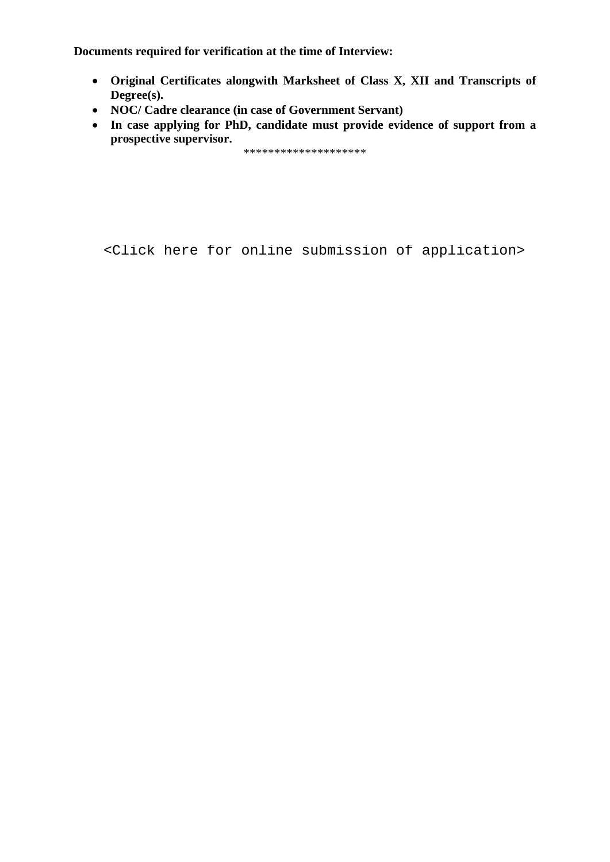**Documents required for verification at the time of Interview:** 

- **Original Certificates alongwith Marksheet of Class X, XII and Transcripts of Degree(s).**
- **NOC/ Cadre clearance (in case of Government Servant)**
- **In case applying for PhD, candidate must provide evidence of support from a prospective supervisor.**

\*\*\*\*\*\*\*\*\*\*\*\*\*\*\*\*\*\*\*\*

[<Click here for online submission of application>](http://proposal.sakshat.ac.in/scholarship/)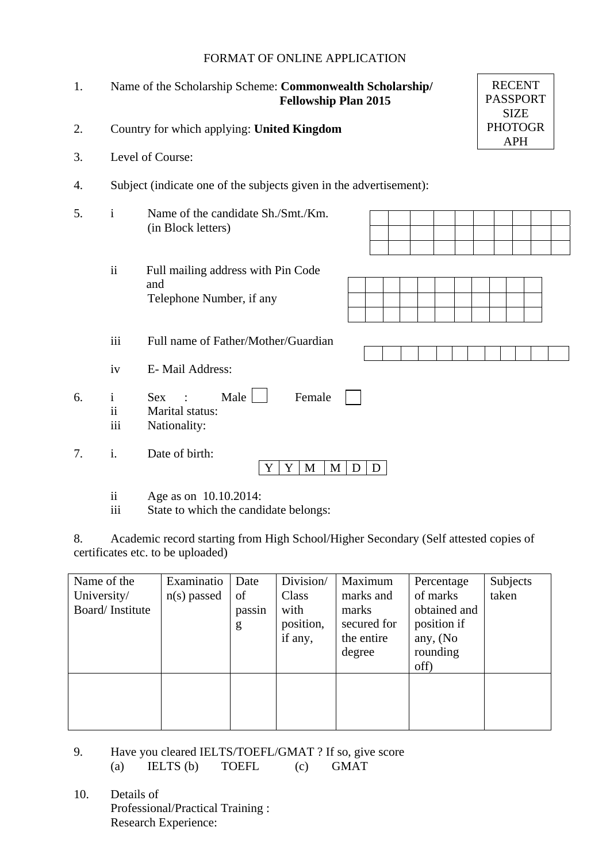### FORMAT OF ONLINE APPLICATION

 $R$ <sub>RECENT</sub>

| 1. |                           | <b>RECENT</b><br>Name of the Scholarship Scheme: Commonwealth Scholarship/<br><b>PASSPORT</b><br><b>Fellowship Plan 2015</b><br><b>SIZE</b> |  |  |  |  |  |  |  |
|----|---------------------------|---------------------------------------------------------------------------------------------------------------------------------------------|--|--|--|--|--|--|--|
| 2. |                           | <b>PHOTOGR</b><br>Country for which applying: United Kingdom<br><b>APH</b>                                                                  |  |  |  |  |  |  |  |
| 3. | Level of Course:          |                                                                                                                                             |  |  |  |  |  |  |  |
| 4. |                           | Subject (indicate one of the subjects given in the advertisement):                                                                          |  |  |  |  |  |  |  |
| 5. | $\mathbf{i}$              | Name of the candidate Sh./Smt./Km.<br>(in Block letters)                                                                                    |  |  |  |  |  |  |  |
|    | ii                        | Full mailing address with Pin Code<br>and<br>Telephone Number, if any                                                                       |  |  |  |  |  |  |  |
|    | iii                       | Full name of Father/Mother/Guardian                                                                                                         |  |  |  |  |  |  |  |
|    | iv                        | E-Mail Address:                                                                                                                             |  |  |  |  |  |  |  |
| 6. | $\mathbf{i}$<br>ii<br>iii | Male $\Box$<br>Female<br><b>Sex</b><br>Marital status:<br>Nationality:                                                                      |  |  |  |  |  |  |  |
| 7. | i.                        | Date of birth:<br>Y<br>Y<br>M<br>M<br>D<br>D                                                                                                |  |  |  |  |  |  |  |

- ii Age as on 10.10.2014:
- iii State to which the candidate belongs:

8. Academic record starting from High School/Higher Secondary (Self attested copies of certificates etc. to be uploaded)

| Name of the<br>University/<br>Board/Institute | Examinatio<br>$n(s)$ passed | Date<br>of<br>passin<br>g | Division/<br>Class<br>with<br>position,<br>if any, | Maximum<br>marks and<br>marks<br>secured for<br>the entire<br>degree | Percentage<br>of marks<br>obtained and<br>position if<br>any, $(No)$<br>rounding<br>off) | Subjects<br>taken |
|-----------------------------------------------|-----------------------------|---------------------------|----------------------------------------------------|----------------------------------------------------------------------|------------------------------------------------------------------------------------------|-------------------|
|                                               |                             |                           |                                                    |                                                                      |                                                                                          |                   |

- 9. Have you cleared IELTS/TOEFL/GMAT ? If so, give score (a) IELTS (b) TOEFL (c) GMAT
- 10. Details of Professional/Practical Training : Research Experience: